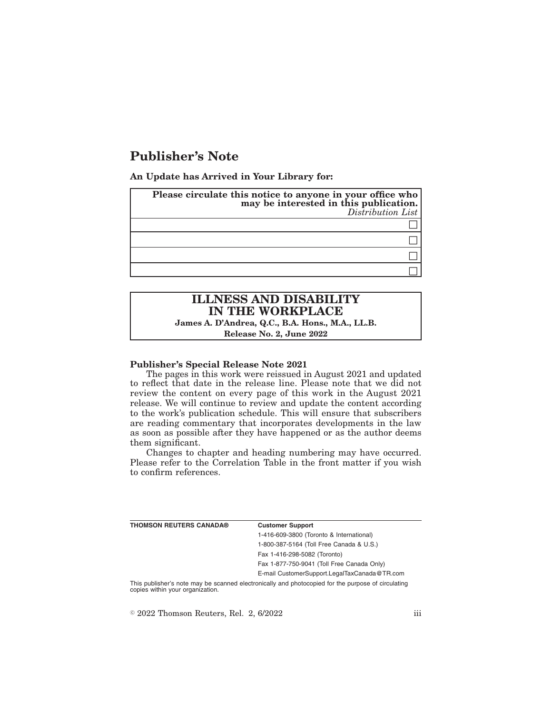# **Publisher's Note**

**An Update has Arrived in Your Library for:**

| Please circulate this notice to anyone in your office who<br>may be interested in this publication.<br>Distribution List |  |
|--------------------------------------------------------------------------------------------------------------------------|--|
|                                                                                                                          |  |
|                                                                                                                          |  |
|                                                                                                                          |  |
|                                                                                                                          |  |

## **ILLNESS AND DISABILITY IN THE WORKPLACE**

**James A. D'Andrea, Q.C., B.A. Hons., M.A., LL.B.**

**Release No. 2, June 2022**

#### **Publisher's Special Release Note 2021**

The pages in this work were reissued in August 2021 and updated to reflect that date in the release line. Please note that we did not review the content on every page of this work in the August 2021 release. We will continue to review and update the content according to the work's publication schedule. This will ensure that subscribers are reading commentary that incorporates developments in the law as soon as possible after they have happened or as the author deems them significant.

Changes to chapter and heading numbering may have occurred. Please refer to the Correlation Table in the front matter if you wish to confirm references.

| <b>THOMSON REUTERS CANADA®</b> | <b>Customer Support</b>                      |
|--------------------------------|----------------------------------------------|
|                                | 1-416-609-3800 (Toronto & International)     |
|                                | 1-800-387-5164 (Toll Free Canada & U.S.)     |
|                                | Fax 1-416-298-5082 (Toronto)                 |
|                                | Fax 1-877-750-9041 (Toll Free Canada Only)   |
|                                | E-mail CustomerSupport.LegalTaxCanada@TR.com |
|                                |                                              |

This publisher's note may be scanned electronically and photocopied for the purpose of circulating copies within your organization.

 $\textdegree$  2022 Thomson Reuters, Rel. 2, 6/2022 iii